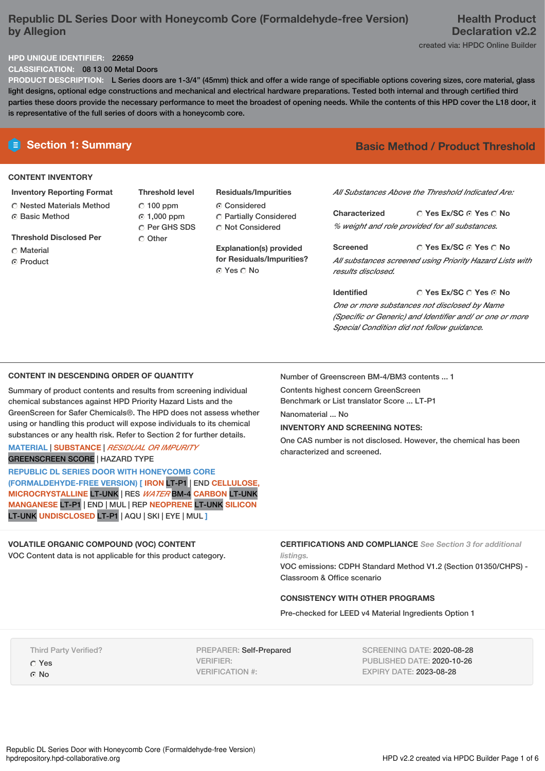# **Republic DL Series Door with Honeycomb Core (Formaldehyde-free Version) by Allegion**

# **Health Product Declaration v2.2**

created via: HPDC Online Builder

## **HPD UNIQUE IDENTIFIER:** 22659

**CLASSIFICATION:** 08 13 00 Metal Doors

**PRODUCT DESCRIPTION:** L Series doors are 1-3/4" (45mm) thick and offer a wide range of specifiable options covering sizes, core material, glass light designs, optional edge constructions and mechanical and electrical hardware preparations. Tested both internal and through certified third parties these doors provide the necessary performance to meet the broadest of opening needs. While the contents of this HPD cover the L18 door, it is representative of the full series of doors with a honeycomb core.

# **CONTENT INVENTORY**

**Inventory Reporting Format** Nested Materials Method **G** Basic Method

**Threshold Disclosed Per**

- Material
- ⊙ Product

**Threshold level**  $C$  100 ppm 1,000 ppm Per GHS SDS Other

**Residuals/Impurities** Considered Partially Considered C Not Considered

**Explanation(s) provided for Residuals/Impurities?** © Yes ∩ No

# **E** Section 1: Summary **Basic** Method / Product Threshold

*All Substances Above the Threshold Indicated Are:*

**Yes Ex/SC Yes No Characterized** *% weight and role provided for all substances.*

**Yes Ex/SC Yes No Screened** *All substances screened using Priority Hazard Lists with results disclosed.*

**Yes Ex/SC Yes No Identified** *One or more substances not disclosed by Name (Specific or Generic) and Identifier and/ or one or more Special Condition did not follow guidance.*

## **CONTENT IN DESCENDING ORDER OF QUANTITY**

Summary of product contents and results from screening individual chemical substances against HPD Priority Hazard Lists and the GreenScreen for Safer Chemicals®. The HPD does not assess whether using or handling this product will expose individuals to its chemical substances or any health risk. Refer to Section 2 for further details.

#### **MATERIAL** | **SUBSTANCE** | *RESIDUAL OR IMPURITY* GREENSCREEN SCORE | HAZARD TYPE

**REPUBLIC DL SERIES DOOR WITH HONEYCOMB CORE (FORMALDEHYDE-FREE VERSION) [ IRON** LT-P1 | END **CELLULOSE, MICROCRYSTALLINE** LT-UNK | RES *WATER* BM-4 **CARBON** LT-UNK **MANGANESE** LT-P1 | END | MUL | REP **NEOPRENE** LT-UNK **SILICON** LT-UNK **UNDISCLOSED** LT-P1 | AQU | SKI | EYE | MUL **]**

# **VOLATILE ORGANIC COMPOUND (VOC) CONTENT**

VOC Content data is not applicable for this product category.

Number of Greenscreen BM-4/BM3 contents ... 1

Contents highest concern GreenScreen

Benchmark or List translator Score ... LT-P1 Nanomaterial ... No

# **INVENTORY AND SCREENING NOTES:**

One CAS number is not disclosed. However, the chemical has been characterized and screened.

**CERTIFICATIONS AND COMPLIANCE** *See Section 3 for additional listings.*

VOC emissions: CDPH Standard Method V1.2 (Section 01350/CHPS) - Classroom & Office scenario

# **CONSISTENCY WITH OTHER PROGRAMS**

Pre-checked for LEED v4 Material Ingredients Option 1

Third Party Verified? Yes

G No

PREPARER: Self-Prepared VERIFIER: VERIFICATION #:

SCREENING DATE: 2020-08-28 PUBLISHED DATE: 2020-10-26 EXPIRY DATE: 2023-08-28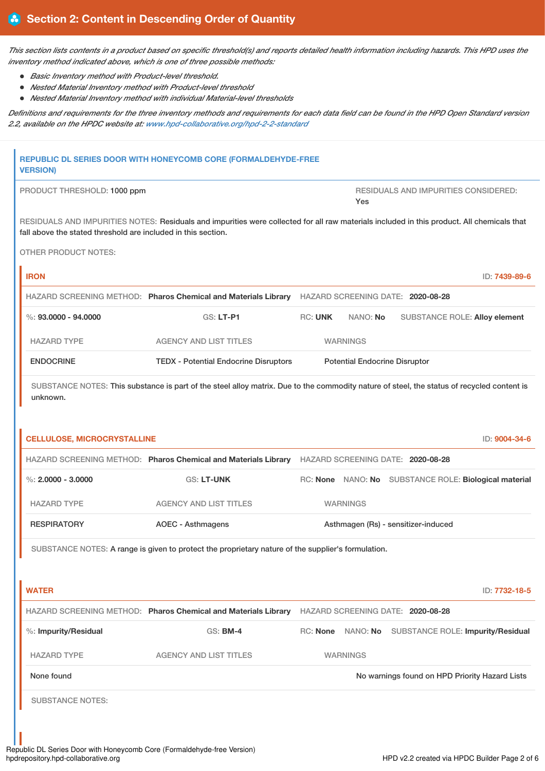This section lists contents in a product based on specific threshold(s) and reports detailed health information including hazards. This HPD uses the *inventory method indicated above, which is one of three possible methods:*

- *Basic Inventory method with Product-level threshold.*
- *Nested Material Inventory method with Product-level threshold*
- *Nested Material Inventory method with individual Material-level thresholds*

Definitions and requirements for the three inventory methods and requirements for each data field can be found in the HPD Open Standard version *2.2, available on the HPDC website at: [www.hpd-collaborative.org/hpd-2-2-standard](https://www.hpd-collaborative.org/hpd-2-2-standard)*

| <b>VERSION)</b>                                               | REPUBLIC DL SERIES DOOR WITH HONEYCOMB CORE (FORMALDEHYDE-FREE                                                                             |                                      |                   |                                                |                                                       |
|---------------------------------------------------------------|--------------------------------------------------------------------------------------------------------------------------------------------|--------------------------------------|-------------------|------------------------------------------------|-------------------------------------------------------|
| PRODUCT THRESHOLD: 1000 ppm                                   |                                                                                                                                            |                                      | Yes               | <b>RESIDUALS AND IMPURITIES CONSIDERED:</b>    |                                                       |
| fall above the stated threshold are included in this section. | RESIDUALS AND IMPURITIES NOTES: Residuals and impurities were collected for all raw materials included in this product. All chemicals that |                                      |                   |                                                |                                                       |
| <b>OTHER PRODUCT NOTES:</b>                                   |                                                                                                                                            |                                      |                   |                                                |                                                       |
| <b>IRON</b>                                                   |                                                                                                                                            |                                      |                   |                                                | ID: 7439-89-6                                         |
|                                                               | HAZARD SCREENING METHOD: Pharos Chemical and Materials Library HAZARD SCREENING DATE: 2020-08-28                                           |                                      |                   |                                                |                                                       |
| $\%$ : 93.0000 - 94.0000                                      | GS: LT-P1                                                                                                                                  | <b>RC: UNK</b>                       | NANO: No          |                                                | SUBSTANCE ROLE: Alloy element                         |
| <b>HAZARD TYPE</b>                                            | <b>AGENCY AND LIST TITLES</b>                                                                                                              |                                      | <b>WARNINGS</b>   |                                                |                                                       |
| <b>ENDOCRINE</b>                                              | <b>TEDX - Potential Endocrine Disruptors</b>                                                                                               | <b>Potential Endocrine Disruptor</b> |                   |                                                |                                                       |
| unknown.                                                      | SUBSTANCE NOTES: This substance is part of the steel alloy matrix. Due to the commodity nature of steel, the status of recycled content is |                                      |                   |                                                |                                                       |
| <b>CELLULOSE, MICROCRYSTALLINE</b>                            |                                                                                                                                            |                                      |                   |                                                | ID: 9004-34-6                                         |
|                                                               | HAZARD SCREENING METHOD: Pharos Chemical and Materials Library HAZARD SCREENING DATE: 2020-08-28                                           |                                      |                   |                                                |                                                       |
| %: $2,0000 - 3,0000$                                          | <b>GS: LT-UNK</b>                                                                                                                          |                                      |                   |                                                | RC: None NANO: No SUBSTANCE ROLE: Biological material |
| <b>HAZARD TYPE</b>                                            | <b>AGENCY AND LIST TITLES</b>                                                                                                              |                                      | <b>WARNINGS</b>   |                                                |                                                       |
| <b>RESPIRATORY</b>                                            | <b>AOEC - Asthmagens</b>                                                                                                                   | Asthmagen (Rs) - sensitizer-induced  |                   |                                                |                                                       |
|                                                               | SUBSTANCE NOTES: A range is given to protect the proprietary nature of the supplier's formulation.                                         |                                      |                   |                                                |                                                       |
| <b>WATER</b>                                                  |                                                                                                                                            |                                      |                   |                                                | ID: 7732-18-5                                         |
|                                                               | HAZARD SCREENING METHOD: Pharos Chemical and Materials Library                                                                             |                                      |                   | HAZARD SCREENING DATE: 2020-08-28              |                                                       |
| %: Impurity/Residual                                          | <b>GS: BM-4</b>                                                                                                                            |                                      | RC: None NANO: No |                                                | <b>SUBSTANCE ROLE: Impurity/Residual</b>              |
| <b>HAZARD TYPE</b>                                            | <b>AGENCY AND LIST TITLES</b>                                                                                                              |                                      | <b>WARNINGS</b>   |                                                |                                                       |
| None found                                                    |                                                                                                                                            |                                      |                   | No warnings found on HPD Priority Hazard Lists |                                                       |
| <b>SUBSTANCE NOTES:</b>                                       |                                                                                                                                            |                                      |                   |                                                |                                                       |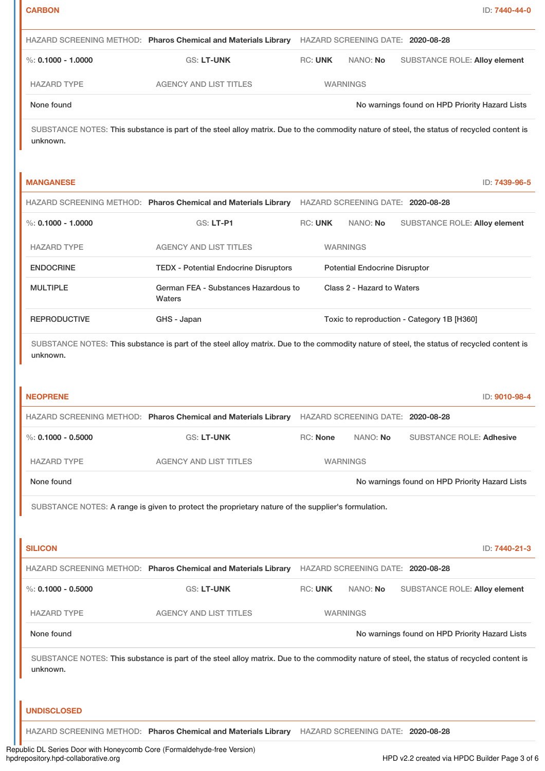|                        | HAZARD SCREENING METHOD: Pharos Chemical and Materials Library HAZARD SCREENING DATE: 2020-08-28                                           |                            |                                      |                                            |                                                |
|------------------------|--------------------------------------------------------------------------------------------------------------------------------------------|----------------------------|--------------------------------------|--------------------------------------------|------------------------------------------------|
| $\%$ : 0.1000 - 1.0000 | <b>GS: LT-UNK</b>                                                                                                                          | <b>RC: UNK</b>             | NANO: No                             |                                            | <b>SUBSTANCE ROLE: Alloy element</b>           |
| <b>HAZARD TYPE</b>     | <b>AGENCY AND LIST TITLES</b>                                                                                                              |                            | <b>WARNINGS</b>                      |                                            |                                                |
| None found             |                                                                                                                                            |                            |                                      |                                            | No warnings found on HPD Priority Hazard Lists |
| unknown.               | SUBSTANCE NOTES: This substance is part of the steel alloy matrix. Due to the commodity nature of steel, the status of recycled content is |                            |                                      |                                            |                                                |
| <b>MANGANESE</b>       |                                                                                                                                            |                            |                                      |                                            | ID: 7439-96-5                                  |
|                        | HAZARD SCREENING METHOD: Pharos Chemical and Materials Library HAZARD SCREENING DATE: 2020-08-28                                           |                            |                                      |                                            |                                                |
| $\%$ : 0.1000 - 1.0000 | GS: LT-P1                                                                                                                                  | <b>RC: UNK</b>             | NANO: No                             |                                            | <b>SUBSTANCE ROLE: Alloy element</b>           |
| <b>HAZARD TYPE</b>     | <b>AGENCY AND LIST TITLES</b>                                                                                                              |                            | <b>WARNINGS</b>                      |                                            |                                                |
| <b>ENDOCRINE</b>       | <b>TEDX - Potential Endocrine Disruptors</b>                                                                                               |                            | <b>Potential Endocrine Disruptor</b> |                                            |                                                |
| <b>MULTIPLE</b>        | German FEA - Substances Hazardous to<br>Waters                                                                                             | Class 2 - Hazard to Waters |                                      |                                            |                                                |
| <b>REPRODUCTIVE</b>    | GHS - Japan                                                                                                                                |                            |                                      | Toxic to reproduction - Category 1B [H360] |                                                |
| unknown.               | SUBSTANCE NOTES: This substance is part of the steel alloy matrix. Due to the commodity nature of steel, the status of recycled content is |                            |                                      |                                            |                                                |
|                        |                                                                                                                                            |                            |                                      |                                            |                                                |
| <b>NEOPRENE</b>        |                                                                                                                                            |                            |                                      |                                            | ID: 9010-98-4                                  |
|                        | HAZARD SCREENING METHOD: Pharos Chemical and Materials Library HAZARD SCREENING DATE: 2020-08-28                                           |                            |                                      |                                            |                                                |
| %: $0.1000 - 0.5000$   | GS: LT-UNK                                                                                                                                 | <b>RC: None</b>            | NANO: No                             |                                            | <b>SUBSTANCE ROLE: Adhesive</b>                |
| <b>HAZARD TYPE</b>     | <b>AGENCY AND LIST TITLES</b>                                                                                                              |                            | <b>WARNINGS</b>                      |                                            |                                                |
| None found             |                                                                                                                                            |                            |                                      |                                            | No warnings found on HPD Priority Hazard Lists |
|                        | SUBSTANCE NOTES: A range is given to protect the proprietary nature of the supplier's formulation.                                         |                            |                                      |                                            |                                                |
| <b>SILICON</b>         |                                                                                                                                            |                            |                                      |                                            | ID: 7440-21-3                                  |
|                        | HAZARD SCREENING METHOD: Pharos Chemical and Materials Library HAZARD SCREENING DATE: 2020-08-28                                           |                            |                                      |                                            |                                                |
| %: $0.1000 - 0.5000$   | GS: LT-UNK                                                                                                                                 | <b>RC: UNK</b>             | NANO: No                             |                                            | <b>SUBSTANCE ROLE: Alloy element</b>           |
| <b>HAZARD TYPE</b>     | <b>AGENCY AND LIST TITLES</b>                                                                                                              |                            | <b>WARNINGS</b>                      |                                            |                                                |
| None found             |                                                                                                                                            |                            |                                      |                                            | No warnings found on HPD Priority Hazard Lists |
| unknown.               | SUBSTANCE NOTES: This substance is part of the steel alloy matrix. Due to the commodity nature of steel, the status of recycled content is |                            |                                      |                                            |                                                |
| <b>UNDISCLOSED</b>     |                                                                                                                                            |                            |                                      |                                            |                                                |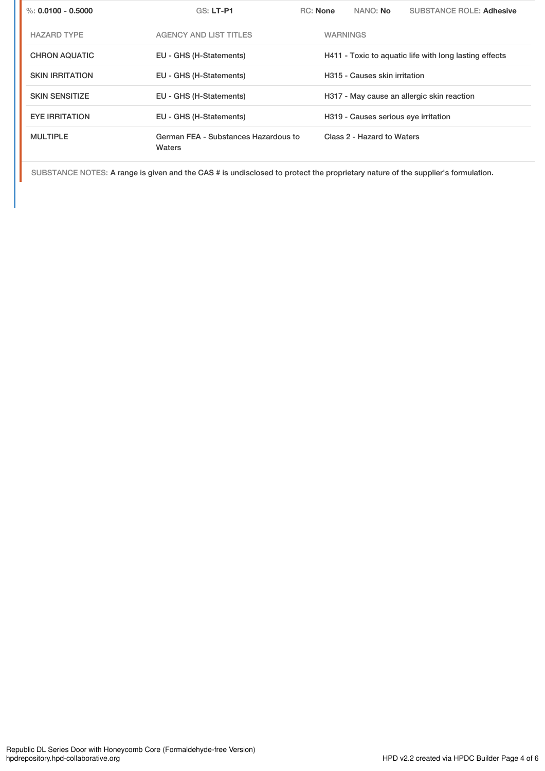| %: $0.0100 - 0.5000$   | <b>GS: LT-P1</b>                               | <b>RC:</b> None | NANO: No                             | <b>SUBSTANCE ROLE: Adhesive</b>                        |  |
|------------------------|------------------------------------------------|-----------------|--------------------------------------|--------------------------------------------------------|--|
| <b>HAZARD TYPE</b>     | <b>AGENCY AND LIST TITLES</b>                  |                 | <b>WARNINGS</b>                      |                                                        |  |
| <b>CHRON AQUATIC</b>   | EU - GHS (H-Statements)                        |                 |                                      | H411 - Toxic to aquatic life with long lasting effects |  |
| <b>SKIN IRRITATION</b> | EU - GHS (H-Statements)                        |                 | H315 - Causes skin irritation        |                                                        |  |
| <b>SKIN SENSITIZE</b>  | EU - GHS (H-Statements)                        |                 |                                      | H317 - May cause an allergic skin reaction             |  |
| <b>EYE IRRITATION</b>  | EU - GHS (H-Statements)                        |                 | H319 - Causes serious eye irritation |                                                        |  |
| <b>MULTIPLE</b>        | German FEA - Substances Hazardous to<br>Waters |                 | Class 2 - Hazard to Waters           |                                                        |  |

SUBSTANCE NOTES: A range is given and the CAS # is undisclosed to protect the proprietary nature of the supplier's formulation.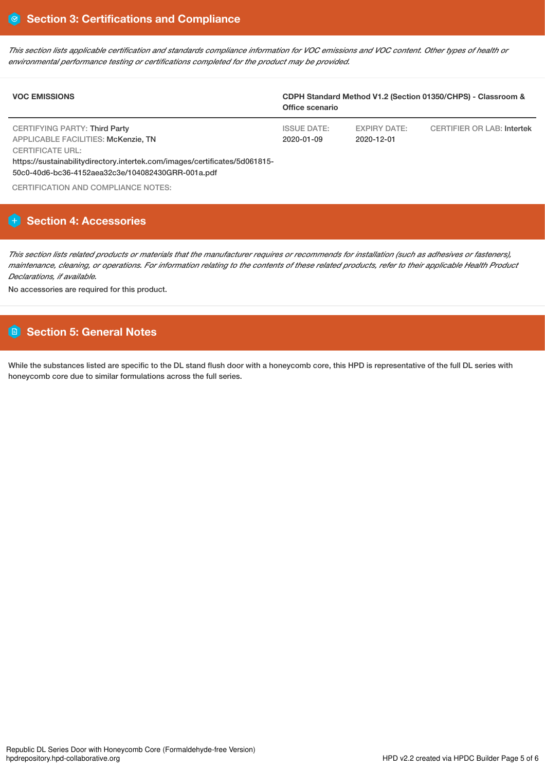This section lists applicable certification and standards compliance information for VOC emissions and VOC content. Other types of health or *environmental performance testing or certifications completed for the product may be provided.*

| <b>VOC EMISSIONS</b>                                                                                                            | CDPH Standard Method V1.2 (Section 01350/CHPS) - Classroom &<br>Office scenario |                                   |                                   |  |
|---------------------------------------------------------------------------------------------------------------------------------|---------------------------------------------------------------------------------|-----------------------------------|-----------------------------------|--|
| CERTIFYING PARTY: Third Party<br>APPLICABLE FACILITIES: McKenzie, TN<br><b>CERTIFICATE URL:</b>                                 | <b>ISSUE DATE:</b><br>2020-01-09                                                | <b>EXPIRY DATE:</b><br>2020-12-01 | <b>CERTIFIER OR LAB: Intertek</b> |  |
| https://sustainabilitydirectory.intertek.com/images/certificates/5d061815-<br>50c0-40d6-bc36-4152aea32c3e/104082430GRR-001a.pdf |                                                                                 |                                   |                                   |  |

CERTIFICATION AND COMPLIANCE NOTES:

# **Section 4: Accessories**

This section lists related products or materials that the manufacturer requires or recommends for installation (such as adhesives or fasteners), maintenance, cleaning, or operations. For information relating to the contents of these related products, refer to their applicable Health Product *Declarations, if available.*

No accessories are required for this product.

# **Section 5: General Notes**

While the substances listed are specific to the DL stand flush door with a honeycomb core, this HPD is representative of the full DL series with honeycomb core due to similar formulations across the full series.